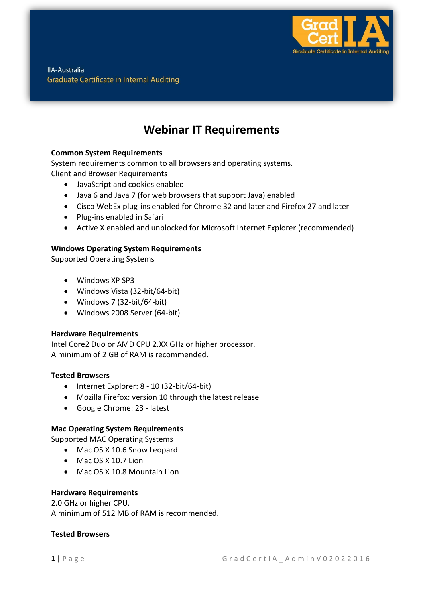

**IIA-Australia Graduate Certificate in Internal Auditing** 

# **Webinar IT Requirements**

# **Common System Requirements**

System requirements common to all browsers and operating systems. Client and Browser Requirements

- JavaScript and cookies enabled
- Java 6 and Java 7 (for web browsers that support Java) enabled
- Cisco WebEx plug-ins enabled for Chrome 32 and later and Firefox 27 and later
- Plug-ins enabled in Safari
- Active X enabled and unblocked for Microsoft Internet Explorer (recommended)

# **Windows Operating System Requirements**

Supported Operating Systems

- Windows XP SP3
- Windows Vista (32-bit/64-bit)
- Windows 7 (32-bit/64-bit)
- Windows 2008 Server (64-bit)

### **Hardware Requirements**

Intel Core2 Duo or AMD CPU 2.XX GHz or higher processor. A minimum of 2 GB of RAM is recommended.

### **Tested Browsers**

- $\bullet$  Internet Explorer: 8 10 (32-bit/64-bit)
- Mozilla Firefox: version 10 through the latest release
- Google Chrome: 23 latest

### **Mac Operating System Requirements**

Supported MAC Operating Systems

- Mac OS X 10.6 Snow Leopard
- Mac OS X 10.7 Lion
- Mac OS X 10.8 Mountain Lion

### **Hardware Requirements**

2.0 GHz or higher CPU. A minimum of 512 MB of RAM is recommended.

#### **Tested Browsers**